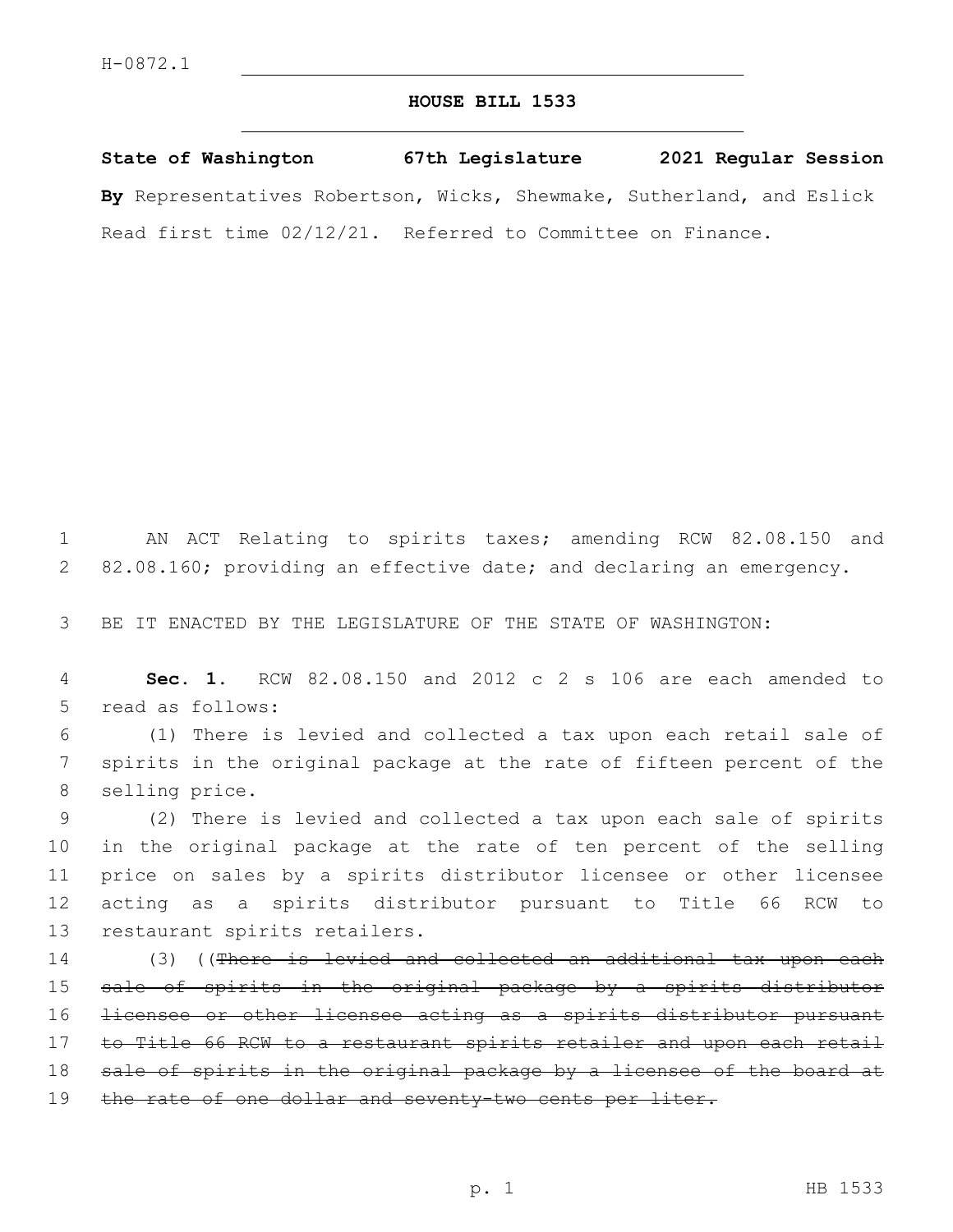## **HOUSE BILL 1533**

**State of Washington 67th Legislature 2021 Regular Session By** Representatives Robertson, Wicks, Shewmake, Sutherland, and Eslick Read first time 02/12/21. Referred to Committee on Finance.

1 AN ACT Relating to spirits taxes; amending RCW 82.08.150 and 2 82.08.160; providing an effective date; and declaring an emergency.

3 BE IT ENACTED BY THE LEGISLATURE OF THE STATE OF WASHINGTON:

4 **Sec. 1.** RCW 82.08.150 and 2012 c 2 s 106 are each amended to 5 read as follows:

6 (1) There is levied and collected a tax upon each retail sale of 7 spirits in the original package at the rate of fifteen percent of the 8 selling price.

 (2) There is levied and collected a tax upon each sale of spirits in the original package at the rate of ten percent of the selling price on sales by a spirits distributor licensee or other licensee acting as a spirits distributor pursuant to Title 66 RCW to 13 restaurant spirits retailers.

14 (3) ((There is levied and collected an additional tax upon each 15 sale of spirits in the original package by a spirits distributor 16 licensee or other licensee acting as a spirits distributor pursuant 17 to Title 66 RCW to a restaurant spirits retailer and upon each retail 18 sale of spirits in the original package by a licensee of the board at 19 the rate of one dollar and seventy-two cents per liter.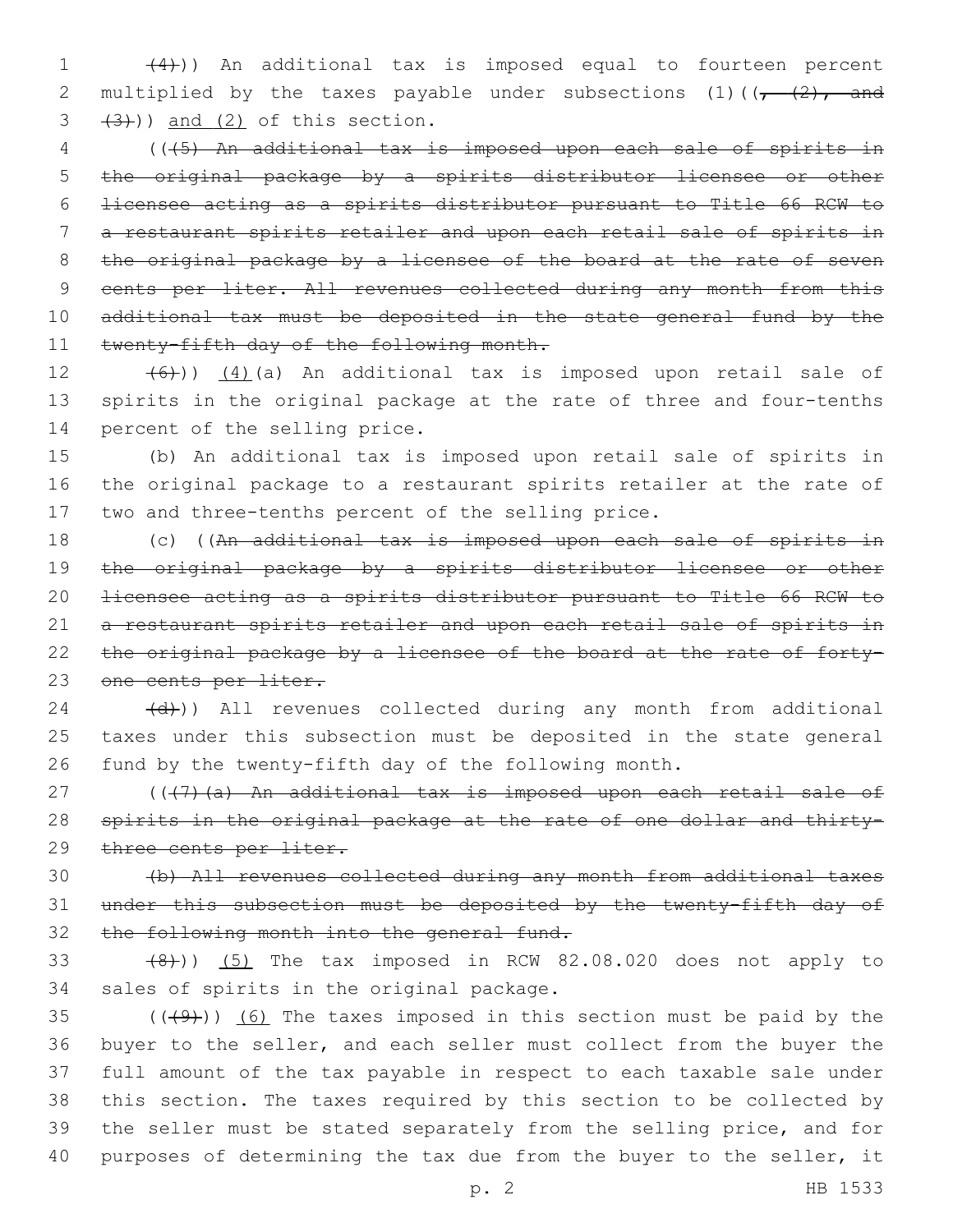1 (4))) An additional tax is imposed equal to fourteen percent 2 multiplied by the taxes payable under subsections (1)( $(-\t+2)$ , and  $(3, 43)$ ) and  $(2)$  of this section.

 (((5) An additional tax is imposed upon each sale of spirits in the original package by a spirits distributor licensee or other licensee acting as a spirits distributor pursuant to Title 66 RCW to a restaurant spirits retailer and upon each retail sale of spirits in 8 the original package by a licensee of the board at the rate of seven 9 cents per liter. All revenues collected during any month from this additional tax must be deposited in the state general fund by the 11 twenty-fifth day of the following month.

12  $(4)$  (4)(a) An additional tax is imposed upon retail sale of 13 spirits in the original package at the rate of three and four-tenths 14 percent of the selling price.

15 (b) An additional tax is imposed upon retail sale of spirits in 16 the original package to a restaurant spirits retailer at the rate of 17 two and three-tenths percent of the selling price.

18 (c) ((An additional tax is imposed upon each sale of spirits in 19 the original package by a spirits distributor licensee or other 20 licensee acting as a spirits distributor pursuant to Title 66 RCW to 21 a restaurant spirits retailer and upon each retail sale of spirits in 22 the original package by a licensee of the board at the rate of forty-23 one cents per liter.

 $(24 - (d))$ ) All revenues collected during any month from additional 25 taxes under this subsection must be deposited in the state general 26 fund by the twenty-fifth day of the following month.

27 (((7)(a) An additional tax is imposed upon each retail sale of 28 spirits in the original package at the rate of one dollar and thirty-29 three cents per liter.

30 (b) All revenues collected during any month from additional taxes 31 under this subsection must be deposited by the twenty-fifth day of 32 the following month into the general fund.

 $(8)$ )) (5) The tax imposed in RCW 82.08.020 does not apply to 34 sales of spirits in the original package.

 $((49)$ )  $(6)$  The taxes imposed in this section must be paid by the buyer to the seller, and each seller must collect from the buyer the full amount of the tax payable in respect to each taxable sale under this section. The taxes required by this section to be collected by the seller must be stated separately from the selling price, and for purposes of determining the tax due from the buyer to the seller, it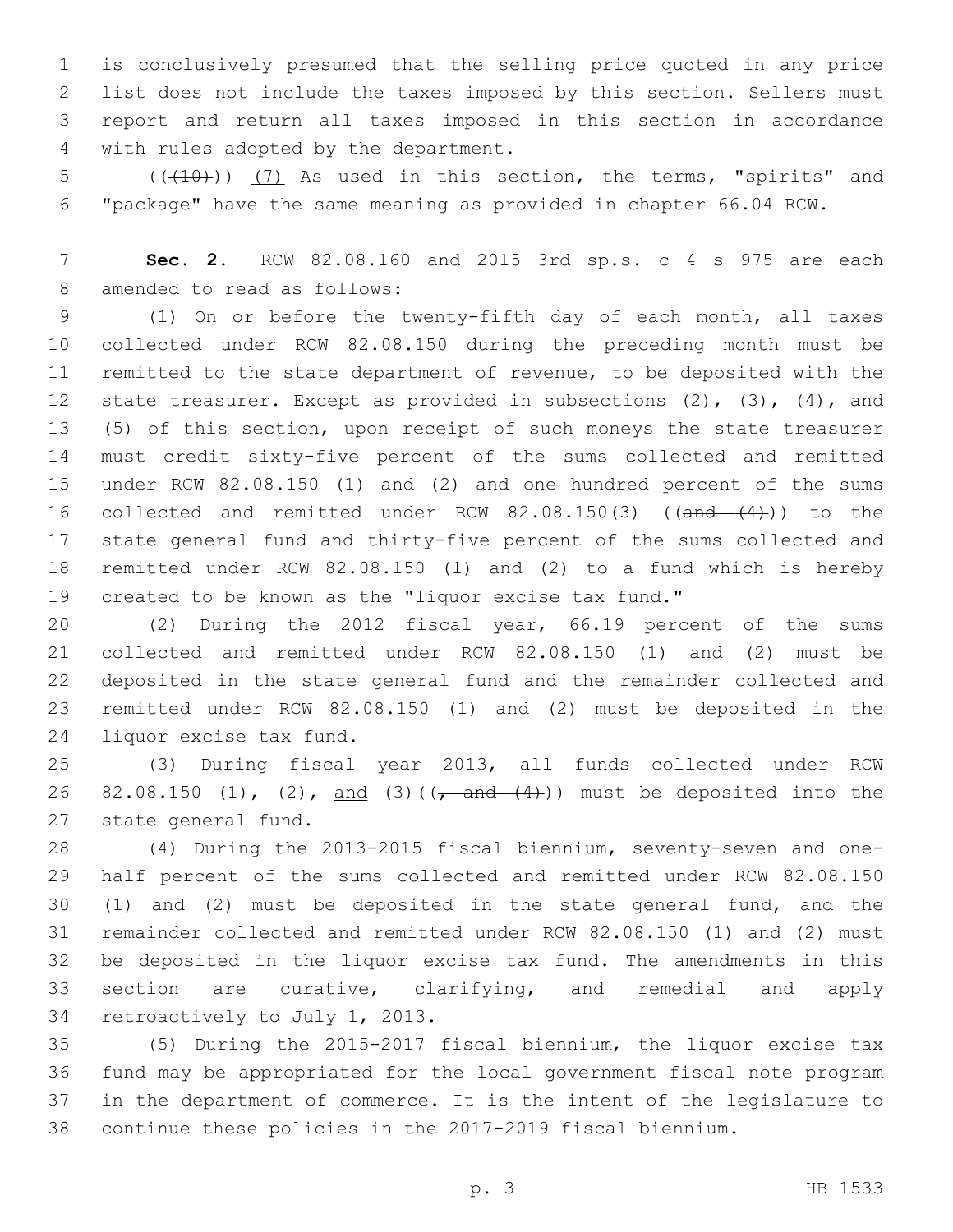is conclusively presumed that the selling price quoted in any price list does not include the taxes imposed by this section. Sellers must report and return all taxes imposed in this section in accordance 4 with rules adopted by the department.

5 (( $(10)$ ) (7) As used in this section, the terms, "spirits" and "package" have the same meaning as provided in chapter 66.04 RCW.

 **Sec. 2.** RCW 82.08.160 and 2015 3rd sp.s. c 4 s 975 are each 8 amended to read as follows:

 (1) On or before the twenty-fifth day of each month, all taxes collected under RCW 82.08.150 during the preceding month must be remitted to the state department of revenue, to be deposited with the state treasurer. Except as provided in subsections (2), (3), (4), and (5) of this section, upon receipt of such moneys the state treasurer must credit sixty-five percent of the sums collected and remitted under RCW 82.08.150 (1) and (2) and one hundred percent of the sums 16 collected and remitted under RCW 82.08.150(3) ((and (4))) to the state general fund and thirty-five percent of the sums collected and remitted under RCW 82.08.150 (1) and (2) to a fund which is hereby created to be known as the "liquor excise tax fund."

 (2) During the 2012 fiscal year, 66.19 percent of the sums collected and remitted under RCW 82.08.150 (1) and (2) must be deposited in the state general fund and the remainder collected and remitted under RCW 82.08.150 (1) and (2) must be deposited in the 24 liquor excise tax fund.

 (3) During fiscal year 2013, all funds collected under RCW 26 82.08.150 (1), (2), and (3)( $(- \text{and} (4))$ ) must be deposited into the 27 state general fund.

 (4) During the 2013-2015 fiscal biennium, seventy-seven and one- half percent of the sums collected and remitted under RCW 82.08.150 (1) and (2) must be deposited in the state general fund, and the remainder collected and remitted under RCW 82.08.150 (1) and (2) must be deposited in the liquor excise tax fund. The amendments in this section are curative, clarifying, and remedial and apply 34 retroactively to July 1, 2013.

 (5) During the 2015-2017 fiscal biennium, the liquor excise tax fund may be appropriated for the local government fiscal note program in the department of commerce. It is the intent of the legislature to continue these policies in the 2017-2019 fiscal biennium.

p. 3 HB 1533